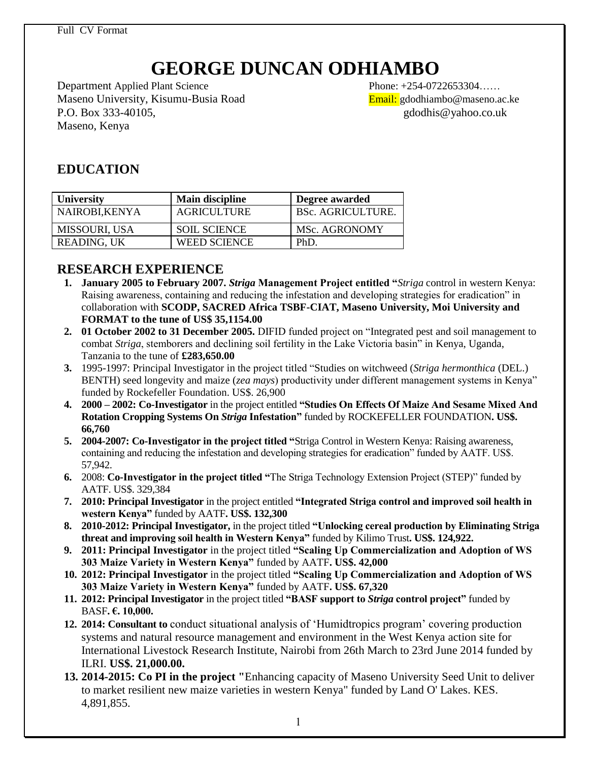Full CV Format

# **GEORGE DUNCAN ODHIAMBO**

Department Applied Plant Science Phone: +254-0722653304...... Maseno University, Kisumu-Busia Road Email: gdodhiambo@maseno.ac.ke P.O. Box 333-40105, gdodhis@yahoo.co.uk Maseno, Kenya

# **EDUCATION**

| <b>University</b>    | <b>Main discipline</b> | Degree awarded           |
|----------------------|------------------------|--------------------------|
| NAIROBI, KENYA       | AGRICULTURE            | <b>BSc. AGRICULTURE.</b> |
| <b>MISSOURI, USA</b> | <b>SOIL SCIENCE</b>    | MSc. AGRONOMY            |
| READING, UK          | <b>WEED SCIENCE</b>    | PhD                      |

# **RESEARCH EXPERIENCE**

- **1. January 2005 to February 2007.** *Striga* **Management Project entitled "***Striga* control in western Kenya: Raising awareness, containing and reducing the infestation and developing strategies for eradication" in collaboration with **SCODP, SACRED Africa TSBF-CIAT, Maseno University, Moi University and FORMAT to the tune of US\$ 35,1154.00**
- **2. 01 October 2002 to 31 December 2005.** DIFID funded project on "Integrated pest and soil management to combat *Striga*, stemborers and declining soil fertility in the Lake Victoria basin" in Kenya, Uganda, Tanzania to the tune of **£283,650.00**
- **3.** 1995-1997: Principal Investigator in the project titled "Studies on witchweed (*Striga hermonthica* (DEL.) BENTH) seed longevity and maize (*zea mays*) productivity under different management systems in Kenya" funded by Rockefeller Foundation. US\$. 26,900
- **4. 2000 – 2002: Co-Investigator** in the project entitled **"Studies On Effects Of Maize And Sesame Mixed And Rotation Cropping Systems On** *Striga* **Infestation"** funded by ROCKEFELLER FOUNDATION**. US\$. 66,760**
- **5. 2004-2007: Co-Investigator in the project titled "**Striga Control in Western Kenya: Raising awareness, containing and reducing the infestation and developing strategies for eradication" funded by AATF. US\$. 57,942.
- **6.** 2008: **Co-Investigator in the project titled "**The Striga Technology Extension Project (STEP)" funded by AATF. US\$. 329,384
- **7. 2010: Principal Investigator** in the project entitled **"Integrated Striga control and improved soil health in western Kenya"** funded by AATF**. US\$. 132,300**
- **8. 2010-2012: Principal Investigator,** in the project titled **"Unlocking cereal production by Eliminating Striga threat and improving soil health in Western Kenya"** funded by Kilimo Trust**. US\$. 124,922.**
- **9. 2011: Principal Investigator** in the project titled **"Scaling Up Commercialization and Adoption of WS 303 Maize Variety in Western Kenya"** funded by AATF**. US\$. 42,000**
- **10. 2012: Principal Investigator** in the project titled **"Scaling Up Commercialization and Adoption of WS 303 Maize Variety in Western Kenya"** funded by AATF**. US\$. 67,320**
- **11. 2012: Principal Investigator** in the project titled **"BASF support to** *Striga* **control project"** funded by BASF**. €. 10,000.**
- **12. 2014: Consultant to** conduct situational analysis of "Humidtropics program" covering production systems and natural resource management and environment in the West Kenya action site for International Livestock Research Institute, Nairobi from 26th March to 23rd June 2014 funded by ILRI. **US\$. 21,000.00.**
- **13. 2014-2015: Co PI in the project "**Enhancing capacity of Maseno University Seed Unit to deliver to market resilient new maize varieties in western Kenya" funded by Land O' Lakes. KES. 4,891,855.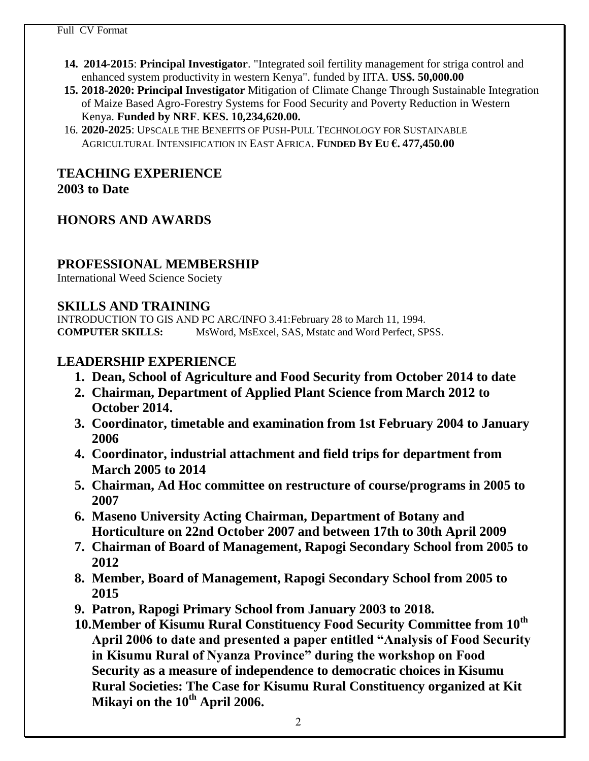- **14. 2014-2015**: **Principal Investigator**. "Integrated soil fertility management for striga control and enhanced system productivity in western Kenya". funded by IITA. **US\$. 50,000.00**
- **15. 2018-2020: Principal Investigator** Mitigation of Climate Change Through Sustainable Integration of Maize Based Agro-Forestry Systems for Food Security and Poverty Reduction in Western Kenya. **Funded by NRF**. **KES. 10,234,620.00.**
- 16. **2020-2025**: UPSCALE THE BENEFITS OF PUSH-PULL TECHNOLOGY FOR SUSTAINABLE AGRICULTURAL INTENSIFICATION IN EAST AFRICA. **FUNDED BY EU €. 477,450.00**

## **TEACHING EXPERIENCE 2003 to Date**

# **HONORS AND AWARDS**

#### **PROFESSIONAL MEMBERSHIP**

International Weed Science Society

#### **SKILLS AND TRAINING**

INTRODUCTION TO GIS AND PC ARC/INFO 3.41:February 28 to March 11, 1994. **COMPUTER SKILLS:** MsWord, MsExcel, SAS, Mstatc and Word Perfect, SPSS.

# **LEADERSHIP EXPERIENCE**

- **1. Dean, School of Agriculture and Food Security from October 2014 to date**
- **2. Chairman, Department of Applied Plant Science from March 2012 to October 2014.**
- **3. Coordinator, timetable and examination from 1st February 2004 to January 2006**
- **4. Coordinator, industrial attachment and field trips for department from March 2005 to 2014**
- **5. Chairman, Ad Hoc committee on restructure of course/programs in 2005 to 2007**
- **6. Maseno University Acting Chairman, Department of Botany and Horticulture on 22nd October 2007 and between 17th to 30th April 2009**
- **7. Chairman of Board of Management, Rapogi Secondary School from 2005 to 2012**
- **8. Member, Board of Management, Rapogi Secondary School from 2005 to 2015**
- **9. Patron, Rapogi Primary School from January 2003 to 2018.**
- **10.Member of Kisumu Rural Constituency Food Security Committee from 10th April 2006 to date and presented a paper entitled "Analysis of Food Security in Kisumu Rural of Nyanza Province" during the workshop on Food Security as a measure of independence to democratic choices in Kisumu Rural Societies: The Case for Kisumu Rural Constituency organized at Kit Mikayi on the 10th April 2006.**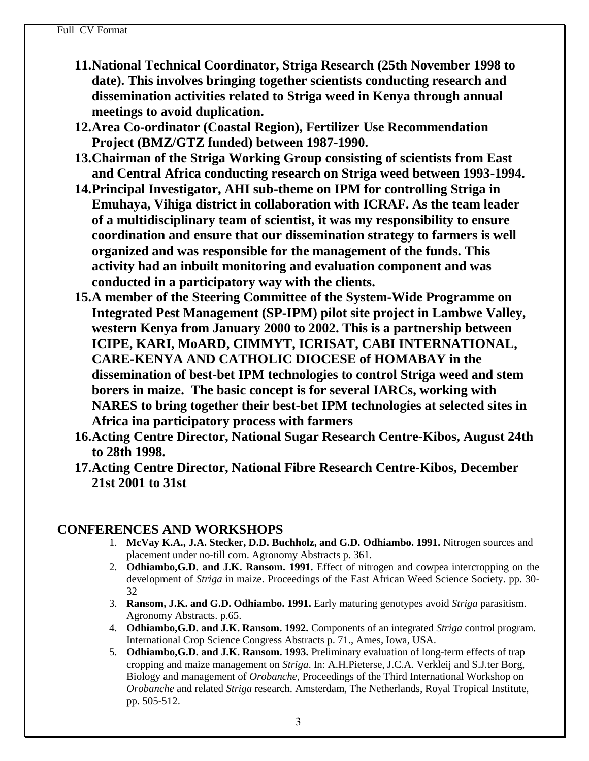- **11.National Technical Coordinator, Striga Research (25th November 1998 to date). This involves bringing together scientists conducting research and dissemination activities related to Striga weed in Kenya through annual meetings to avoid duplication.**
- **12.Area Co-ordinator (Coastal Region), Fertilizer Use Recommendation Project (BMZ/GTZ funded) between 1987-1990.**
- **13.Chairman of the Striga Working Group consisting of scientists from East and Central Africa conducting research on Striga weed between 1993-1994.**
- **14.Principal Investigator, AHI sub-theme on IPM for controlling Striga in Emuhaya, Vihiga district in collaboration with ICRAF. As the team leader of a multidisciplinary team of scientist, it was my responsibility to ensure coordination and ensure that our dissemination strategy to farmers is well organized and was responsible for the management of the funds. This activity had an inbuilt monitoring and evaluation component and was conducted in a participatory way with the clients.**
- **15.A member of the Steering Committee of the System-Wide Programme on Integrated Pest Management (SP-IPM) pilot site project in Lambwe Valley, western Kenya from January 2000 to 2002. This is a partnership between ICIPE, KARI, MoARD, CIMMYT, ICRISAT, CABI INTERNATIONAL, CARE-KENYA AND CATHOLIC DIOCESE of HOMABAY in the dissemination of best-bet IPM technologies to control Striga weed and stem borers in maize. The basic concept is for several IARCs, working with NARES to bring together their best-bet IPM technologies at selected sites in Africa ina participatory process with farmers**
- **16.Acting Centre Director, National Sugar Research Centre-Kibos, August 24th to 28th 1998.**
- **17.Acting Centre Director, National Fibre Research Centre-Kibos, December 21st 2001 to 31st**

## **CONFERENCES AND WORKSHOPS**

- 1. **McVay K.A., J.A. Stecker, D.D. Buchholz, and G.D. Odhiambo. 1991.** Nitrogen sources and placement under no-till corn. Agronomy Abstracts p. 361.
- 2. **Odhiambo,G.D. and J.K. Ransom. 1991.** Effect of nitrogen and cowpea intercropping on the development of *Striga* in maize. Proceedings of the East African Weed Science Society. pp. 30- 32
- 3. **Ransom, J.K. and G.D. Odhiambo. 1991.** Early maturing genotypes avoid *Striga* parasitism. Agronomy Abstracts. p.65.
- 4. **Odhiambo,G.D. and J.K. Ransom. 1992.** Components of an integrated *Striga* control program. International Crop Science Congress Abstracts p. 71., Ames, Iowa, USA.
- 5. **Odhiambo,G.D. and J.K. Ransom. 1993.** Preliminary evaluation of long-term effects of trap cropping and maize management on *Striga*. In: A.H.Pieterse, J.C.A. Verkleij and S.J.ter Borg, Biology and management of *Orobanche*, Proceedings of the Third International Workshop on *Orobanche* and related *Striga* research. Amsterdam, The Netherlands, Royal Tropical Institute, pp. 505-512.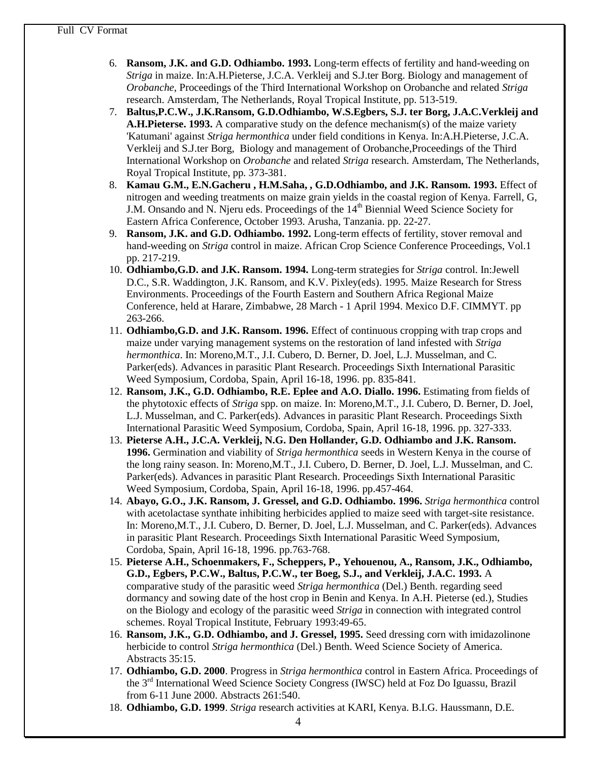- 6. **Ransom, J.K. and G.D. Odhiambo. 1993.** Long-term effects of fertility and hand-weeding on *Striga* in maize. In:A.H.Pieterse, J.C.A. Verkleij and S.J.ter Borg. Biology and management of *Orobanche*, Proceedings of the Third International Workshop on Orobanche and related *Striga* research. Amsterdam, The Netherlands, Royal Tropical Institute, pp. 513-519.
- 7. **Baltus,P.C.W., J.K.Ransom, G.D.Odhiambo, W.S.Egbers, S.J. ter Borg, J.A.C.Verkleij and A.H.Pieterse. 1993.** A comparative study on the defence mechanism(s) of the maize variety 'Katumani' against *Striga hermonthica* under field conditions in Kenya. In:A.H.Pieterse, J.C.A. Verkleij and S.J.ter Borg, Biology and management of Orobanche,Proceedings of the Third International Workshop on *Orobanche* and related *Striga* research. Amsterdam, The Netherlands, Royal Tropical Institute, pp. 373-381.
- 8. **Kamau G.M., E.N.Gacheru , H.M.Saha, , G.D.Odhiambo, and J.K. Ransom. 1993.** Effect of nitrogen and weeding treatments on maize grain yields in the coastal region of Kenya. Farrell, G, J.M. Onsando and N. Njeru eds. Proceedings of the 14<sup>th</sup> Biennial Weed Science Society for Eastern Africa Conference, October 1993. Arusha, Tanzania. pp. 22-27.
- 9. **Ransom, J.K. and G.D. Odhiambo. 1992.** Long-term effects of fertility, stover removal and hand-weeding on *Striga* control in maize. African Crop Science Conference Proceedings, Vol.1 pp. 217-219.
- 10. **Odhiambo,G.D. and J.K. Ransom. 1994.** Long-term strategies for *Striga* control. In:Jewell D.C., S.R. Waddington, J.K. Ransom, and K.V. Pixley(eds). 1995. Maize Research for Stress Environments. Proceedings of the Fourth Eastern and Southern Africa Regional Maize Conference, held at Harare, Zimbabwe, 28 March - 1 April 1994. Mexico D.F. CIMMYT. pp 263-266.
- 11. **Odhiambo,G.D. and J.K. Ransom. 1996.** Effect of continuous cropping with trap crops and maize under varying management systems on the restoration of land infested with *Striga hermonthica*. In: Moreno,M.T., J.I. Cubero, D. Berner, D. Joel, L.J. Musselman, and C. Parker(eds). Advances in parasitic Plant Research. Proceedings Sixth International Parasitic Weed Symposium, Cordoba, Spain, April 16-18, 1996. pp. 835-841.
- 12. **Ransom, J.K., G.D. Odhiambo, R.E. Eplee and A.O. Diallo. 1996.** Estimating from fields of the phytotoxic effects of *Striga* spp. on maize. In: Moreno,M.T., J.I. Cubero, D. Berner, D. Joel, L.J. Musselman, and C. Parker(eds). Advances in parasitic Plant Research. Proceedings Sixth International Parasitic Weed Symposium, Cordoba, Spain, April 16-18, 1996. pp. 327-333.
- 13. **Pieterse A.H., J.C.A. Verkleij, N.G. Den Hollander, G.D. Odhiambo and J.K. Ransom. 1996.** Germination and viability of *Striga hermonthica* seeds in Western Kenya in the course of the long rainy season. In: Moreno,M.T., J.I. Cubero, D. Berner, D. Joel, L.J. Musselman, and C. Parker(eds). Advances in parasitic Plant Research. Proceedings Sixth International Parasitic Weed Symposium, Cordoba, Spain, April 16-18, 1996. pp.457-464.
- 14. **Abayo, G.O., J.K. Ransom, J. Gressel, and G.D. Odhiambo. 1996.** *Striga hermonthica* control with acetolactase synthate inhibiting herbicides applied to maize seed with target-site resistance. In: Moreno,M.T., J.I. Cubero, D. Berner, D. Joel, L.J. Musselman, and C. Parker(eds). Advances in parasitic Plant Research. Proceedings Sixth International Parasitic Weed Symposium, Cordoba, Spain, April 16-18, 1996. pp.763-768.
- 15. **Pieterse A.H., Schoenmakers, F., Scheppers, P., Yehouenou, A., Ransom, J.K., Odhiambo, G.D., Egbers, P.C.W., Baltus, P.C.W., ter Boeg, S.J., and Verkleij, J.A.C. 1993.** A comparative study of the parasitic weed *Striga hermonthica* (Del.) Benth. regarding seed dormancy and sowing date of the host crop in Benin and Kenya. In A.H. Pieterse (ed.), Studies on the Biology and ecology of the parasitic weed *Striga* in connection with integrated control schemes. Royal Tropical Institute, February 1993:49-65.
- 16. **Ransom, J.K., G.D. Odhiambo, and J. Gressel, 1995.** Seed dressing corn with imidazolinone herbicide to control *Striga hermonthica* (Del.) Benth. Weed Science Society of America. Abstracts 35:15.
- 17. **Odhiambo, G.D. 2000**. Progress in *Striga hermonthica* control in Eastern Africa. Proceedings of the 3rd International Weed Science Society Congress (IWSC) held at Foz Do Iguassu, Brazil from 6-11 June 2000. Abstracts 261:540.
- 18. **Odhiambo, G.D. 1999**. *Striga* research activities at KARI, Kenya. B.I.G. Haussmann, D.E.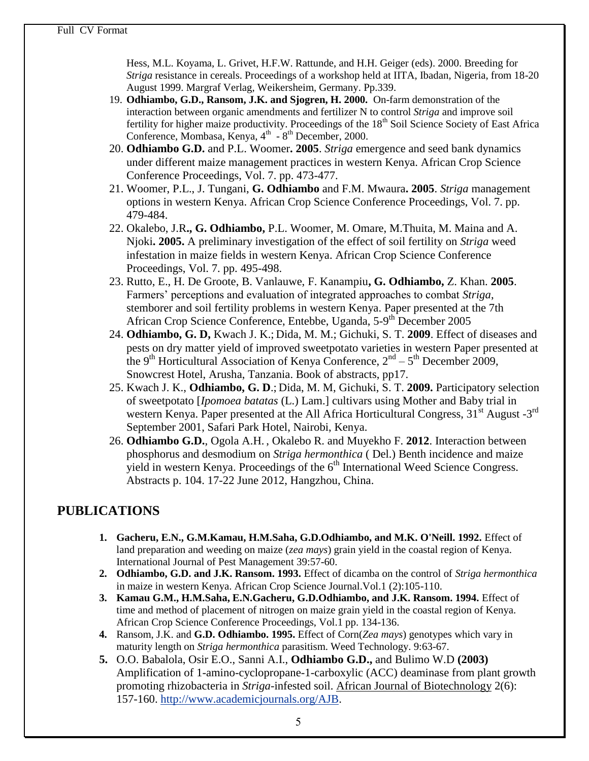Hess, M.L. Koyama, L. Grivet, H.F.W. Rattunde, and H.H. Geiger (eds). 2000. Breeding for *Striga* resistance in cereals. Proceedings of a workshop held at IITA, Ibadan, Nigeria, from 18-20 August 1999. Margraf Verlag, Weikersheim, Germany. Pp.339.

- 19. **Odhiambo, G.D., Ransom, J.K. and Sjogren, H. 2000.** On-farm demonstration of the interaction between organic amendments and fertilizer N to control *Striga* and improve soil fertility for higher maize productivity. Proceedings of the 18<sup>th</sup> Soil Science Society of East Africa Conference, Mombasa, Kenya, 4<sup>th</sup> - 8<sup>th</sup> December, 2000.
- 20. **Odhiambo G.D.** and P.L. Woomer**. 2005**. *Striga* emergence and seed bank dynamics under different maize management practices in western Kenya. African Crop Science Conference Proceedings, Vol. 7. pp. 473-477.
- 21. Woomer, P.L., J. Tungani, **G. Odhiambo** and F.M. Mwaura**. 2005**. *Striga* management options in western Kenya. African Crop Science Conference Proceedings, Vol. 7. pp. 479-484.
- 22. Okalebo, J.R**., G. Odhiambo,** P.L. Woomer, M. Omare, M.Thuita, M. Maina and A. Njoki**. 2005.** A preliminary investigation of the effect of soil fertility on *Striga* weed infestation in maize fields in western Kenya. African Crop Science Conference Proceedings, Vol. 7. pp. 495-498.
- 23. Rutto, E., H. De Groote, B. Vanlauwe, F. Kanampiu**, G. Odhiambo,** Z. Khan. **2005**. Farmers" perceptions and evaluation of integrated approaches to combat *Striga*, stemborer and soil fertility problems in western Kenya. Paper presented at the 7th African Crop Science Conference, Entebbe, Uganda, 5-9<sup>th</sup> December 2005
- 24. **Odhiambo, G. D,** Kwach J. K.; Dida, M. M.; Gichuki, S. T. **2009**. Effect of diseases and pests on dry matter yield of improved sweetpotato varieties in western Paper presented at the 9<sup>th</sup> Horticultural Association of Kenya Conference,  $2<sup>nd</sup> - 5<sup>th</sup>$  December 2009, Snowcrest Hotel, Arusha, Tanzania. Book of abstracts, pp17.
- 25. Kwach J. K., **Odhiambo, G. D**.; Dida, M. M, Gichuki, S. T. **2009.** Participatory selection of sweetpotato [*Ipomoea batatas* (L.) Lam.] cultivars using Mother and Baby trial in western Kenya. Paper presented at the All Africa Horticultural Congress,  $31<sup>st</sup>$  August  $-3<sup>rd</sup>$ September 2001, Safari Park Hotel, Nairobi, Kenya.
- 26. **Odhiambo G.D.**, Ogola A.H. , Okalebo R. and Muyekho F. **2012**. Interaction between phosphorus and desmodium on *Striga hermonthica* ( Del.) Benth incidence and maize yield in western Kenya. Proceedings of the  $6<sup>th</sup>$  International Weed Science Congress. Abstracts p. 104. 17-22 June 2012, Hangzhou, China.

# **PUBLICATIONS**

- **1. Gacheru, E.N., G.M.Kamau, H.M.Saha, G.D.Odhiambo, and M.K. O'Neill. 1992.** Effect of land preparation and weeding on maize (*zea mays*) grain yield in the coastal region of Kenya. International Journal of Pest Management 39:57-60.
- **2. Odhiambo, G.D. and J.K. Ransom. 1993.** Effect of dicamba on the control of *Striga hermonthica* in maize in western Kenya. African Crop Science Journal.Vol.1 (2):105-110.
- **3. Kamau G.M., H.M.Saha, E.N.Gacheru, G.D.Odhiambo, and J.K. Ransom. 1994.** Effect of time and method of placement of nitrogen on maize grain yield in the coastal region of Kenya. African Crop Science Conference Proceedings, Vol.1 pp. 134-136.
- **4.** Ransom, J.K. and **G.D. Odhiambo. 1995.** Effect of Corn(*Zea mays*) genotypes which vary in maturity length on *Striga hermonthica* parasitism. Weed Technology. 9:63-67.
- **5.** O.O. Babalola, Osir E.O., Sanni A.I., **Odhiambo G.D.,** and Bulimo W.D **(2003)** Amplification of 1-amino-cyclopropane-1-carboxylic (ACC) deaminase from plant growth promoting rhizobacteria in *Striga*-infested soil. African Journal of Biotechnology 2(6): 157-160. [http://www.academicjournals.org/AJB.](http://www.academicjournals.org/AJB)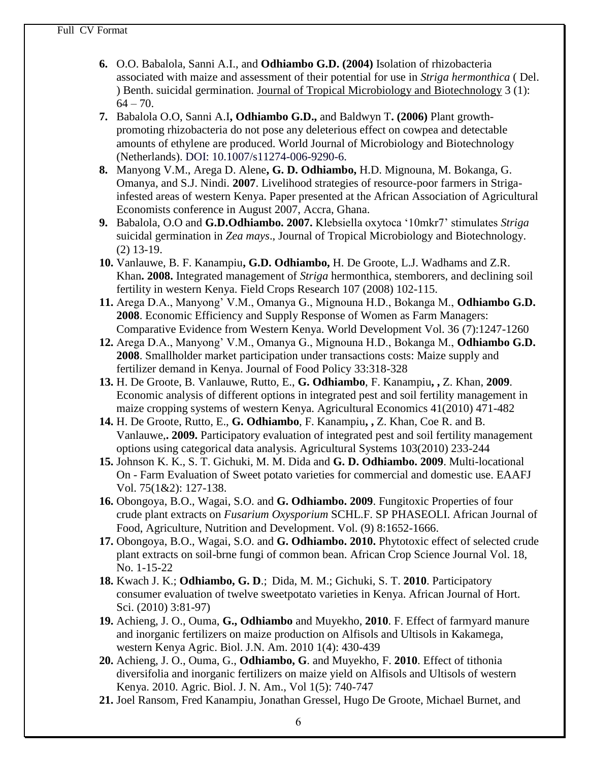- **6.** O.O. Babalola, Sanni A.I., and **Odhiambo G.D. (2004)** Isolation of rhizobacteria associated with maize and assessment of their potential for use in *Striga hermonthica* ( Del. ) Benth. suicidal germination. Journal of Tropical Microbiology and Biotechnology 3 (1):  $64 - 70.$
- **7.** Babalola O.O, Sanni A.I**, Odhiambo G.D.,** and Baldwyn T**. (2006)** Plant growthpromoting rhizobacteria do not pose any deleterious effect on cowpea and detectable amounts of ethylene are produced. World Journal of Microbiology and Biotechnology (Netherlands). DOI: 10.1007/s11274-006-9290-6.
- **8.** Manyong V.M., Arega D. Alene**, G. D. Odhiambo,** H.D. Mignouna, M. Bokanga, G. Omanya, and S.J. Nindi. **2007**. Livelihood strategies of resource-poor farmers in Strigainfested areas of western Kenya. Paper presented at the African Association of Agricultural Economists conference in August 2007, Accra, Ghana.
- **9.** Babalola, O.O and **G.D.Odhiambo. 2007.** Klebsiella oxytoca "10mkr7" stimulates *Striga* suicidal germination in *Zea mays*., Journal of Tropical Microbiology and Biotechnology. (2) 13-19.
- **10.** Vanlauwe, B. F. Kanampiu**, G.D. Odhiambo,** H. De Groote, L.J. Wadhams and Z.R. Khan**. 2008.** Integrated management of *Striga* hermonthica, stemborers, and declining soil fertility in western Kenya. Field Crops Research 107 (2008) 102-115.
- **11.** Arega D.A., Manyong" V.M., Omanya G., Mignouna H.D., Bokanga M., **Odhiambo G.D. 2008**. Economic Efficiency and Supply Response of Women as Farm Managers: Comparative Evidence from Western Kenya. World Development Vol. 36 (7):1247-1260
- **12.** Arega D.A., Manyong" V.M., Omanya G., Mignouna H.D., Bokanga M., **Odhiambo G.D. 2008**. Smallholder market participation under transactions costs: Maize supply and fertilizer demand in Kenya. Journal of Food Policy 33:318-328
- **13.** H. De Groote, B. Vanlauwe, Rutto, E., **G. Odhiambo**, F. Kanampiu**, ,** Z. Khan, **2009**. Economic analysis of different options in integrated pest and soil fertility management in maize cropping systems of western Kenya. Agricultural Economics 41(2010) 471-482
- **14.** H. De Groote, Rutto, E., **G. Odhiambo**, F. Kanampiu**, ,** Z. Khan, Coe R. and B. Vanlauwe,**. 2009.** Participatory evaluation of integrated pest and soil fertility management options using categorical data analysis. Agricultural Systems 103(2010) 233-244
- **15.** Johnson K. K., S. T. Gichuki, M. M. Dida and **G. D. Odhiambo. 2009**. Multi-locational On - Farm Evaluation of Sweet potato varieties for commercial and domestic use. EAAFJ Vol. 75(1&2): 127-138.
- **16.** Obongoya, B.O., Wagai, S.O. and **G. Odhiambo. 2009**. Fungitoxic Properties of four crude plant extracts on *Fusarium Oxysporium* SCHL.F. SP PHASEOLI. African Journal of Food, Agriculture, Nutrition and Development. Vol. (9) 8:1652-1666.
- **17.** Obongoya, B.O., Wagai, S.O. and **G. Odhiambo. 2010.** Phytotoxic effect of selected crude plant extracts on soil-brne fungi of common bean. African Crop Science Journal Vol. 18, No. 1-15-22
- **18.** Kwach J. K.; **Odhiambo, G. D**.; Dida, M. M.; Gichuki, S. T. **2010**. Participatory consumer evaluation of twelve sweetpotato varieties in Kenya. African Journal of Hort. Sci. (2010) 3:81-97)
- **19.** Achieng, J. O., Ouma, **G., Odhiambo** and Muyekho, **2010**. F. Effect of farmyard manure and inorganic fertilizers on maize production on Alfisols and Ultisols in Kakamega, western Kenya Agric. Biol. J.N. Am. 2010 1(4): 430-439
- **20.** Achieng, J. O., Ouma, G., **Odhiambo, G**. and Muyekho, F. **2010**. Effect of tithonia diversifolia and inorganic fertilizers on maize yield on Alfisols and Ultisols of western Kenya. 2010. Agric. Biol. J. N. Am., Vol 1(5): 740-747
- **21.** Joel Ransom, Fred Kanampiu, Jonathan Gressel, Hugo De Groote, Michael Burnet, and